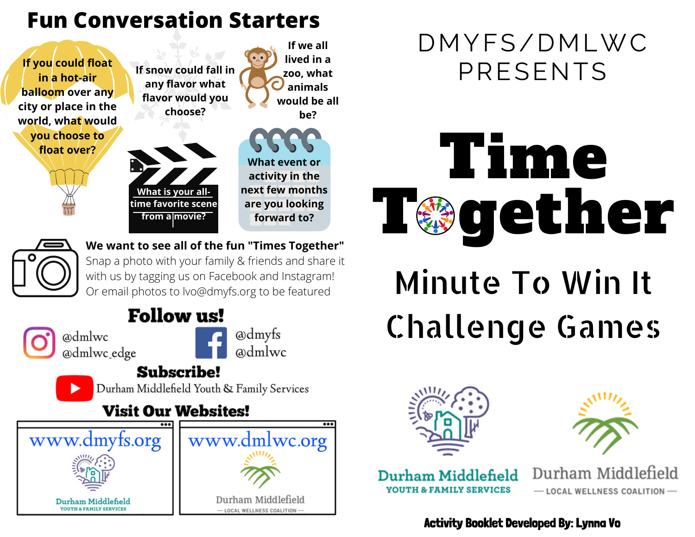### **Fun Conversation Starters**



**We want to see all of the fun "Times Together"** Snap a photo with your family & friends and share it with us by tagging us on Facebook and Instagram! Or email photos to lvo@dmyfs.org to be featured

### **Follow us!**

@dmlwc @dmlwc edge



@dmlwc

#### **Subscribe!**

Durham Middlefield Youth & Family Services

### **Visit Our Websites!**



### DMYFS/DMLWC PRESENTS



# Minute To Win It Challenge Games





Durham Middlefield **YOUTH & FAMILY SERVICES** 

Durham Middlefield - LOCAL WELLNESS COALITION-

#### Activity Booklet Developed By: Lynna Vo